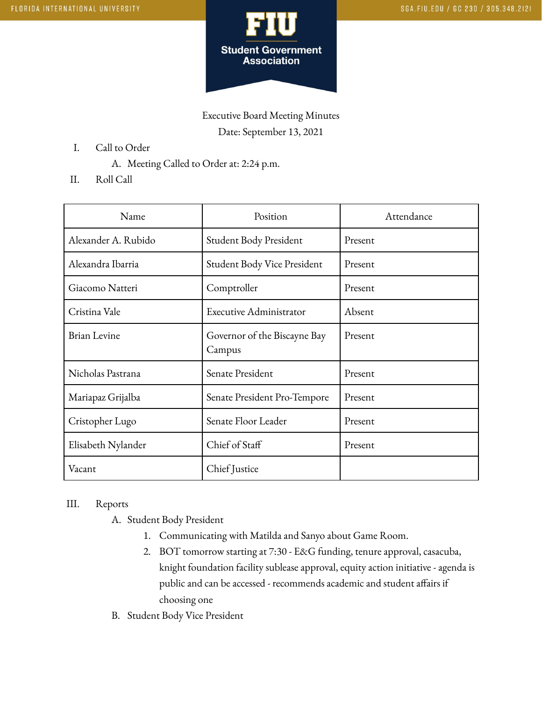

Executive Board Meeting Minutes Date: September 13, 2021

- I. Call to Order
	- A. Meeting Called to Order at: 2:24 p.m.
- II. Roll Call

| Name                | Position                               | Attendance |
|---------------------|----------------------------------------|------------|
| Alexander A. Rubido | Student Body President                 | Present    |
| Alexandra Ibarria   | Student Body Vice President            | Present    |
| Giacomo Natteri     | Comptroller                            | Present    |
| Cristina Vale       | Executive Administrator                | Absent     |
| <b>Brian Levine</b> | Governor of the Biscayne Bay<br>Campus | Present    |
| Nicholas Pastrana   | Senate President                       | Present    |
| Mariapaz Grijalba   | Senate President Pro-Tempore           | Present    |
| Cristopher Lugo     | Senate Floor Leader                    | Present    |
| Elisabeth Nylander  | Chief of Staff                         | Present    |
| Vacant              | Chief Justice                          |            |

## III. Reports

- A. Student Body President
	- 1. Communicating with Matilda and Sanyo about Game Room.
	- 2. BOT tomorrow starting at 7:30 E&G funding, tenure approval, casacuba, knight foundation facility sublease approval, equity action initiative - agenda is public and can be accessed - recommends academic and student affairs if choosing one
- B. Student Body Vice President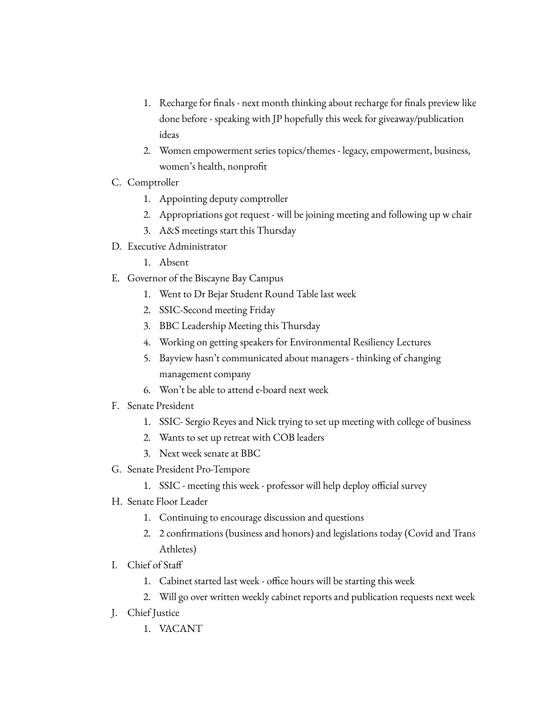- 1. Recharge for finals next month thinking about recharge for finals preview like done before - speaking with JP hopefully this week for giveaway/publication ideas
- 2. Women empowerment series topics/themes legacy, empowerment, business, women's health, nonprofit
- C. Comptroller
	- 1. Appointing deputy comptroller
	- 2. Appropriations got request will be joining meeting and following up w chair
	- 3. A&S meetings start this Thursday
- D. Executive Administrator
	- 1. Absent
- E. Governor of the Biscayne Bay Campus
	- 1. Went to Dr Bejar Student Round Table last week
	- 2. SSIC-Second meeting Friday
	- 3. BBC Leadership Meeting this Thursday
	- 4. Working on getting speakers for Environmental Resiliency Lectures
	- 5. Bayview hasn't communicated about managers thinking of changing management company
	- 6. Won't be able to attend e-board next week
- F. Senate President
	- 1. SSIC- Sergio Reyes and Nick trying to set up meeting with college of business
	- 2. Wants to set up retreat with COB leaders
	- 3. Next week senate at BBC
- G. Senate President Pro-Tempore
	- 1. SSIC meeting this week professor will help deploy official survey
- H. Senate Floor Leader
	- 1. Continuing to encourage discussion and questions
	- 2. 2 confirmations (business and honors) and legislations today (Covid and Trans Athletes)
- I. Chief of Staff
	- 1. Cabinet started last week office hours will be starting this week
	- 2. Will go over written weekly cabinet reports and publication requests next week
- J. Chief Justice
	- 1. VACANT